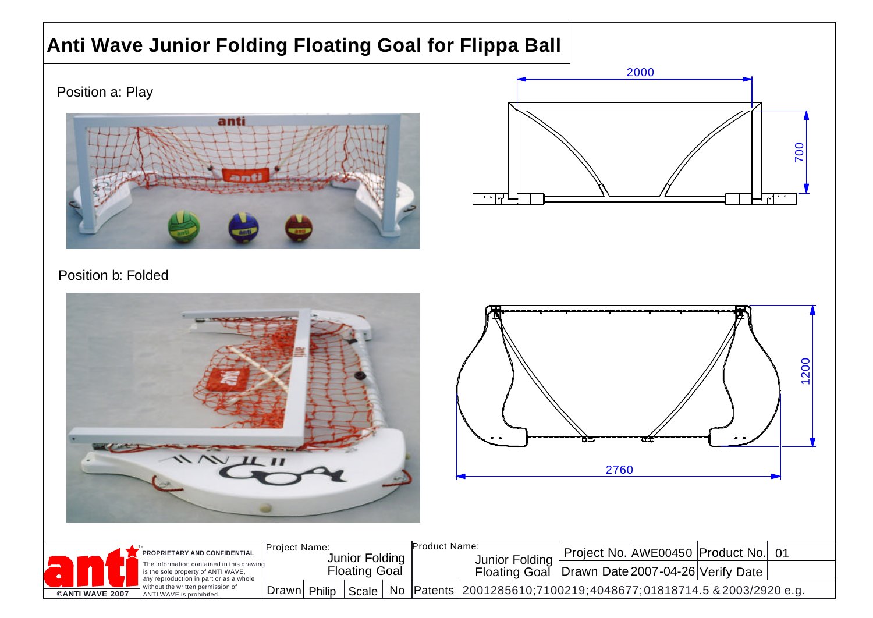## **Anti Wave Junior Folding Floating Goal for Flippa Ball**

Position a: Play





## Position b: Folded

| $W$ II II                                                                               |                                                         |  |       |    |                                                                           |                                                   | *************************************<br>. .<br>2760 | 7771 |                                  | 200<br>$\overline{\phantom{0}}$ |
|-----------------------------------------------------------------------------------------|---------------------------------------------------------|--|-------|----|---------------------------------------------------------------------------|---------------------------------------------------|------------------------------------------------------|------|----------------------------------|---------------------------------|
| PROPRIETARY AND CONFIDENTIAL<br>The information contained in this drawing               | Project Name:<br>Junior Folding<br><b>Floating Goal</b> |  |       |    | Product Name:<br>Junior Folding                                           |                                                   |                                                      |      | Project No. AWE00450 Product No. | 01                              |
| is the sole property of ANTI WAVE,<br>any reproduction in part or as a whole            |                                                         |  |       |    |                                                                           | Floating Goal   Drawn Date 2007-04-26 Verify Date |                                                      |      |                                  |                                 |
| without the written permission of<br><b>©ANTI WAVE 2007</b><br>ANTI WAVE is prohibited. | Drawn Philip                                            |  | Scale | No | 2001285610;7100219;4048677;01818714.5 & 2003/2920 e.g.<br>$ $ Patents $ $ |                                                   |                                                      |      |                                  |                                 |